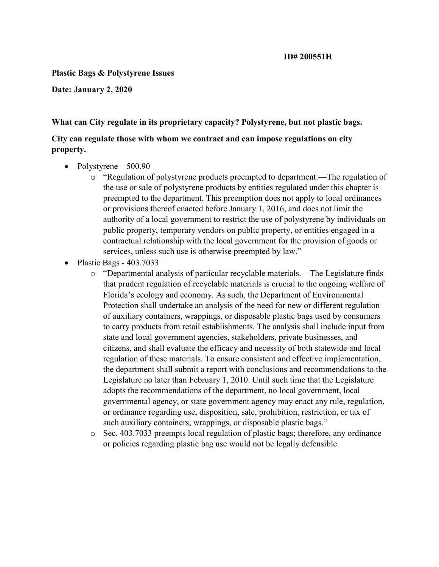#### Plastic Bags & Polystyrene Issues

Date: January 2, 2020

#### What can City regulate in its proprietary capacity? Polystyrene, but not plastic bags.

#### City can regulate those with whom we contract and can impose regulations on city property.

- Polystyrene  $-500.90$ 
	- o "Regulation of polystyrene products preempted to department.—The regulation of the use or sale of polystyrene products by entities regulated under this chapter is preempted to the department. This preemption does not apply to local ordinances or provisions thereof enacted before January 1, 2016, and does not limit the authority of a local government to restrict the use of polystyrene by individuals on public property, temporary vendors on public property, or entities engaged in a contractual relationship with the local government for the provision of goods or services, unless such use is otherwise preempted by law."
- $\bullet$  Plastic Bags 403.7033
	- o "Departmental analysis of particular recyclable materials.—The Legislature finds that prudent regulation of recyclable materials is crucial to the ongoing welfare of Florida's ecology and economy. As such, the Department of Environmental Protection shall undertake an analysis of the need for new or different regulation of auxiliary containers, wrappings, or disposable plastic bags used by consumers to carry products from retail establishments. The analysis shall include input from state and local government agencies, stakeholders, private businesses, and citizens, and shall evaluate the efficacy and necessity of both statewide and local regulation of these materials. To ensure consistent and effective implementation, the department shall submit a report with conclusions and recommendations to the Legislature no later than February 1, 2010. Until such time that the Legislature adopts the recommendations of the department, no local government, local governmental agency, or state government agency may enact any rule, regulation, or ordinance regarding use, disposition, sale, prohibition, restriction, or tax of such auxiliary containers, wrappings, or disposable plastic bags."
	- o Sec. 403.7033 preempts local regulation of plastic bags; therefore, any ordinance or policies regarding plastic bag use would not be legally defensible.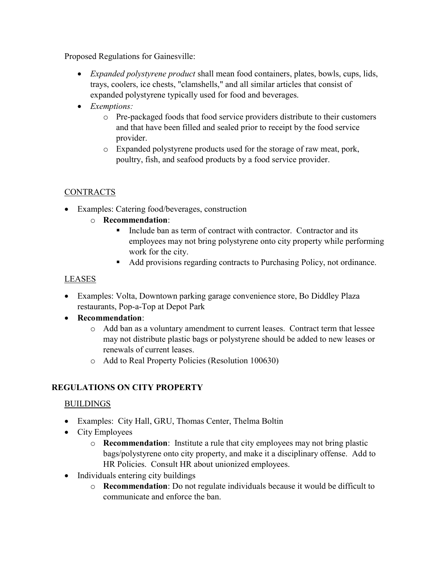Proposed Regulations for Gainesville:

- *Expanded polystyrene product* shall mean food containers, plates, bowls, cups, lids, trays, coolers, ice chests, "clamshells," and all similar articles that consist of expanded polystyrene typically used for food and beverages.
- Exemptions:
	- o Pre-packaged foods that food service providers distribute to their customers and that have been filled and sealed prior to receipt by the food service provider.
	- o Expanded polystyrene products used for the storage of raw meat, pork, poultry, fish, and seafood products by a food service provider.

# CONTRACTS

- Examples: Catering food/beverages, construction
	- o Recommendation:
		- Include ban as term of contract with contractor. Contractor and its employees may not bring polystyrene onto city property while performing work for the city.
		- Add provisions regarding contracts to Purchasing Policy, not ordinance.

# LEASES

- Examples: Volta, Downtown parking garage convenience store, Bo Diddley Plaza restaurants, Pop-a-Top at Depot Park
- Recommendation:
	- o Add ban as a voluntary amendment to current leases. Contract term that lessee may not distribute plastic bags or polystyrene should be added to new leases or renewals of current leases.
	- o Add to Real Property Policies (Resolution 100630)

# REGULATIONS ON CITY PROPERTY

### BUILDINGS

- Examples: City Hall, GRU, Thomas Center, Thelma Boltin
- City Employees
	- $\circ$  **Recommendation**: Institute a rule that city employees may not bring plastic bags/polystyrene onto city property, and make it a disciplinary offense. Add to HR Policies. Consult HR about unionized employees.
- Individuals entering city buildings
	- o Recommendation: Do not regulate individuals because it would be difficult to communicate and enforce the ban.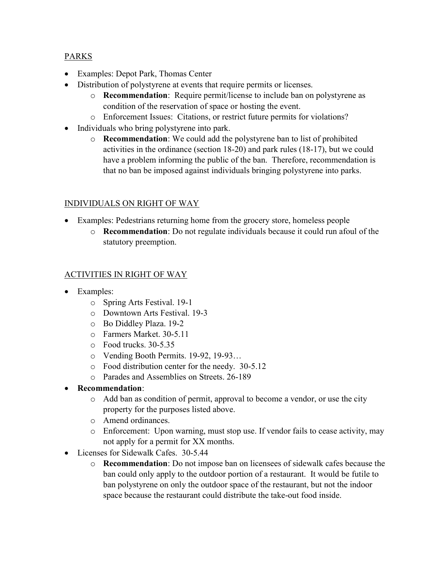## PARKS

- Examples: Depot Park, Thomas Center
- Distribution of polystyrene at events that require permits or licenses.
	- o Recommendation: Require permit/license to include ban on polystyrene as condition of the reservation of space or hosting the event.
	- o Enforcement Issues: Citations, or restrict future permits for violations?
- Individuals who bring polystyrene into park.
	- o Recommendation: We could add the polystyrene ban to list of prohibited activities in the ordinance (section 18-20) and park rules (18-17), but we could have a problem informing the public of the ban. Therefore, recommendation is that no ban be imposed against individuals bringing polystyrene into parks.

# INDIVIDUALS ON RIGHT OF WAY

- Examples: Pedestrians returning home from the grocery store, homeless people
	- o Recommendation: Do not regulate individuals because it could run afoul of the statutory preemption.

# ACTIVITIES IN RIGHT OF WAY

- Examples:
	- o Spring Arts Festival. 19-1
	- o Downtown Arts Festival. 19-3
	- o Bo Diddley Plaza. 19-2
	- o Farmers Market. 30-5.11
	- o Food trucks. 30-5.35
	- o Vending Booth Permits. 19-92, 19-93…
	- o Food distribution center for the needy. 30-5.12
	- o Parades and Assemblies on Streets. 26-189
- Recommendation:
	- o Add ban as condition of permit, approval to become a vendor, or use the city property for the purposes listed above.
	- o Amend ordinances.
	- o Enforcement: Upon warning, must stop use. If vendor fails to cease activity, may not apply for a permit for XX months.
- Licenses for Sidewalk Cafes. 30-5.44
	- o Recommendation: Do not impose ban on licensees of sidewalk cafes because the ban could only apply to the outdoor portion of a restaurant. It would be futile to ban polystyrene on only the outdoor space of the restaurant, but not the indoor space because the restaurant could distribute the take-out food inside.